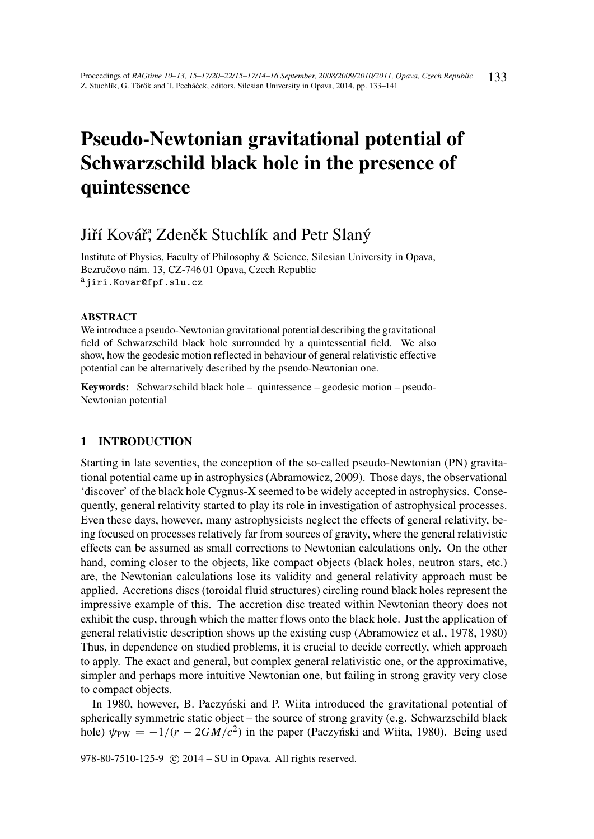# Pseudo-Newtonian gravitational potential of Schwarzschild black hole in the presence of quintessence

## Jiří Kovář, Zdeněk Stuchlík and Petr Slaný

Institute of Physics, Faculty of Philosophy & Science, Silesian University in Opava, Bezručovo nám. 13, CZ-746 01 Opava, Czech Republic <sup>a</sup>jiri.Kovar@fpf.slu.cz

#### **ABSTRACT**

We introduce a pseudo-Newtonian gravitational potential describing the gravitational field of Schwarzschild black hole surrounded by a quintessential field. We also show, how the geodesic motion reflected in behaviour of general relativistic effective potential can be alternatively described by the pseudo-Newtonian one.

Keywords: Schwarzschild black hole – quintessence – geodesic motion – pseudo-Newtonian potential

## 1 INTRODUCTION

Starting in late seventies, the conception of the so-called pseudo-Newtonian (PN) gravitational potential came up in astrophysics (Abramowicz, 2009). Those days, the observational 'discover' of the black hole Cygnus-X seemed to be widely accepted in astrophysics. Consequently, general relativity started to play its role in investigation of astrophysical processes. Even these days, however, many astrophysicists neglect the effects of general relativity, being focused on processes relatively far from sources of gravity, where the general relativistic effects can be assumed as small corrections to Newtonian calculations only. On the other hand, coming closer to the objects, like compact objects (black holes, neutron stars, etc.) are, the Newtonian calculations lose its validity and general relativity approach must be applied. Accretions discs (toroidal fluid structures) circling round black holes represent the impressive example of this. The accretion disc treated within Newtonian theory does not exhibit the cusp, through which the matter flows onto the black hole. Just the application of general relativistic description shows up the existing cusp (Abramowicz et al., 1978, 1980) Thus, in dependence on studied problems, it is crucial to decide correctly, which approach to apply. The exact and general, but complex general relativistic one, or the approximative, simpler and perhaps more intuitive Newtonian one, but failing in strong gravity very close to compact objects.

In 1980, however, B. Paczyński and P. Wiita introduced the gravitational potential of spherically symmetric static object – the source of strong gravity (e.g. Schwarzschild black hole)  $\psi_{PW} = -1/(r - 2GM/c^2)$  in the paper (Paczyński and Wiita, 1980). Being used

978-80-7510-125-9 © 2014 – SU in Opava. All rights reserved.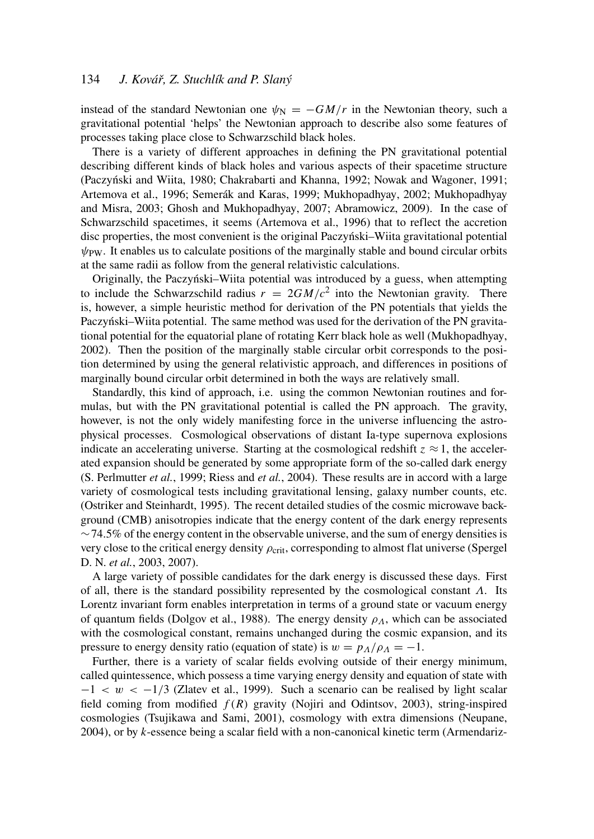## 134 *J. Kovář, Z. Stuchlík and P. Slaný*

instead of the standard Newtonian one  $\psi_N = -GM/r$  in the Newtonian theory, such a gravitational potential 'helps' the Newtonian approach to describe also some features of processes taking place close to Schwarzschild black holes.

There is a variety of different approaches in defining the PN gravitational potential describing different kinds of black holes and various aspects of their spacetime structure (Paczynski and Wiita, 1980; Chakrabarti and Khanna, 1992; Nowak and Wagoner, 1991; ´ Artemova et al., 1996; Semerák and Karas, 1999; Mukhopadhyay, 2002; Mukhopadhyay and Misra, 2003; Ghosh and Mukhopadhyay, 2007; Abramowicz, 2009). In the case of Schwarzschild spacetimes, it seems (Artemova et al., 1996) that to reflect the accretion disc properties, the most convenient is the original Paczynski–Wiita gravitational potential ´  $\psi_{\text{PW}}$ . It enables us to calculate positions of the marginally stable and bound circular orbits at the same radii as follow from the general relativistic calculations.

Originally, the Paczynski–Wiita potential was introduced by a guess, when attempting ´ to include the Schwarzschild radius  $r = 2GM/c^2$  into the Newtonian gravity. There is, however, a simple heuristic method for derivation of the PN potentials that yields the Paczyński–Wiita potential. The same method was used for the derivation of the PN gravitational potential for the equatorial plane of rotating Kerr black hole as well (Mukhopadhyay, 2002). Then the position of the marginally stable circular orbit corresponds to the position determined by using the general relativistic approach, and differences in positions of marginally bound circular orbit determined in both the ways are relatively small.

Standardly, this kind of approach, i.e. using the common Newtonian routines and formulas, but with the PN gravitational potential is called the PN approach. The gravity, however, is not the only widely manifesting force in the universe influencing the astrophysical processes. Cosmological observations of distant Ia-type supernova explosions indicate an accelerating universe. Starting at the cosmological redshift  $z \approx 1$ , the accelerated expansion should be generated by some appropriate form of the so-called dark energy (S. Perlmutter *et al.*, 1999; Riess and *et al.*, 2004). These results are in accord with a large variety of cosmological tests including gravitational lensing, galaxy number counts, etc. (Ostriker and Steinhardt, 1995). The recent detailed studies of the cosmic microwave background (CMB) anisotropies indicate that the energy content of the dark energy represents  $\sim$  74.5% of the energy content in the observable universe, and the sum of energy densities is very close to the critical energy density  $\rho_{\text{crit}}$ , corresponding to almost flat universe (Spergel D. N. *et al.*, 2003, 2007).

A large variety of possible candidates for the dark energy is discussed these days. First of all, there is the standard possibility represented by the cosmological constant  $\Lambda$ . Its Lorentz invariant form enables interpretation in terms of a ground state or vacuum energy of quantum fields (Dolgov et al., 1988). The energy density  $\rho_A$ , which can be associated with the cosmological constant, remains unchanged during the cosmic expansion, and its pressure to energy density ratio (equation of state) is  $w = p<sub>A</sub>/\rho<sub>A</sub> = -1$ .

Further, there is a variety of scalar fields evolving outside of their energy minimum, called quintessence, which possess a time varying energy density and equation of state with  $-1 < w < -1/3$  (Zlatev et al., 1999). Such a scenario can be realised by light scalar field coming from modified *f* (*R*) gravity (Nojiri and Odintsov, 2003), string-inspired cosmologies (Tsujikawa and Sami, 2001), cosmology with extra dimensions (Neupane, 2004), or by *k*-essence being a scalar field with a non-canonical kinetic term (Armendariz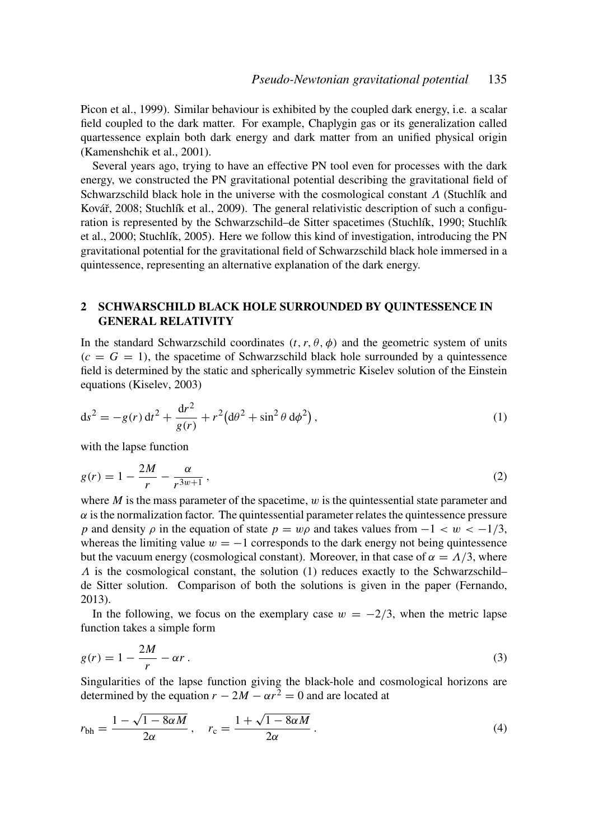Picon et al., 1999). Similar behaviour is exhibited by the coupled dark energy, i.e. a scalar field coupled to the dark matter. For example, Chaplygin gas or its generalization called quartessence explain both dark energy and dark matter from an unified physical origin (Kamenshchik et al., 2001).

Several years ago, trying to have an effective PN tool even for processes with the dark energy, we constructed the PN gravitational potential describing the gravitational field of Schwarzschild black hole in the universe with the cosmological constant  $\Lambda$  (Stuchlík and Kovář, 2008; Stuchlík et al., 2009). The general relativistic description of such a configuration is represented by the Schwarzschild–de Sitter spacetimes (Stuchlík, 1990; Stuchlík et al., 2000; Stuchlík, 2005). Here we follow this kind of investigation, introducing the PN gravitational potential for the gravitational field of Schwarzschild black hole immersed in a quintessence, representing an alternative explanation of the dark energy.

## 2 SCHWARSCHILD BLACK HOLE SURROUNDED BY QUINTESSENCE IN GENERAL RELATIVITY

In the standard Schwarzschild coordinates  $(t, r, \theta, \phi)$  and the geometric system of units  $(c = G = 1)$ , the spacetime of Schwarzschild black hole surrounded by a quintessence field is determined by the static and spherically symmetric Kiselev solution of the Einstein equations (Kiselev, 2003)

$$
ds^{2} = -g(r) dt^{2} + \frac{dr^{2}}{g(r)} + r^{2} (d\theta^{2} + \sin^{2} \theta d\phi^{2}),
$$
\n(1)

with the lapse function

$$
g(r) = 1 - \frac{2M}{r} - \frac{\alpha}{r^{3w+1}},
$$
\n(2)

where  $M$  is the mass parameter of the spacetime,  $w$  is the quintessential state parameter and  $\alpha$  is the normalization factor. The quintessential parameter relates the quintessence pressure *p* and density  $\rho$  in the equation of state  $p = w\rho$  and takes values from  $-1 < w < -1/3$ , whereas the limiting value  $w = -1$  corresponds to the dark energy not being quintessence but the vacuum energy (cosmological constant). Moreover, in that case of  $\alpha = \Lambda/3$ , where  $\Lambda$  is the cosmological constant, the solution (1) reduces exactly to the Schwarzschild– de Sitter solution. Comparison of both the solutions is given in the paper (Fernando, 2013).

In the following, we focus on the exemplary case  $w = -2/3$ , when the metric lapse function takes a simple form

$$
g(r) = 1 - \frac{2M}{r} - \alpha r \,. \tag{3}
$$

Singularities of the lapse function giving the black-hole and cosmological horizons are determined by the equation  $r - 2M - \alpha r^2 = 0$  and are located at

$$
r_{\rm bh} = \frac{1 - \sqrt{1 - 8\alpha M}}{2\alpha}, \quad r_{\rm c} = \frac{1 + \sqrt{1 - 8\alpha M}}{2\alpha}.
$$
 (4)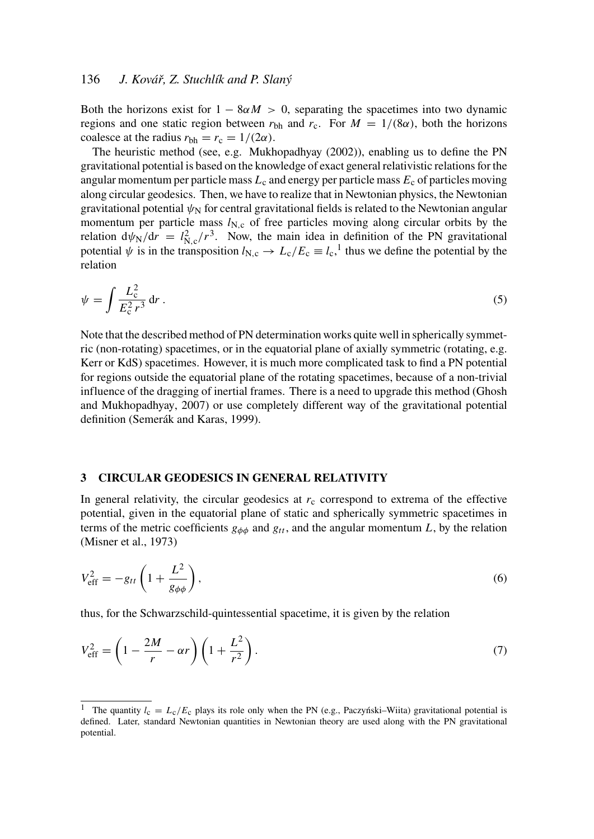## 136 *J. Kovář, Z. Stuchlík and P. Slaný*

Both the horizons exist for  $1 - 8\alpha M > 0$ , separating the spacetimes into two dynamic regions and one static region between  $r_{\text{bh}}$  and  $r_c$ . For  $M = 1/(8\alpha)$ , both the horizons coalesce at the radius  $r_{bh} = r_c = 1/(2\alpha)$ .

The heuristic method (see, e.g. Mukhopadhyay (2002)), enabling us to define the PN gravitational potential is based on the knowledge of exact general relativistic relations for the angular momentum per particle mass  $L_c$  and energy per particle mass  $E_c$  of particles moving along circular geodesics. Then, we have to realize that in Newtonian physics, the Newtonian gravitational potential  $\psi_N$  for central gravitational fields is related to the Newtonian angular momentum per particle mass  $l_{N,c}$  of free particles moving along circular orbits by the relation  $d\psi_N/dr = l_{N,c}^2/r^3$ . Now, the main idea in definition of the PN gravitational potential  $\psi$  is in the transposition  $l_{N,c} \to L_c/E_c \equiv l_c$ ,<sup>1</sup> thus we define the potential by the relation

$$
\psi = \int \frac{L_c^2}{E_c^2 r^3} \, \mathrm{d}r \,. \tag{5}
$$

Note that the described method of PN determination works quite well in spherically symmetric (non-rotating) spacetimes, or in the equatorial plane of axially symmetric (rotating, e.g. Kerr or KdS) spacetimes. However, it is much more complicated task to find a PN potential for regions outside the equatorial plane of the rotating spacetimes, because of a non-trivial influence of the dragging of inertial frames. There is a need to upgrade this method (Ghosh and Mukhopadhyay, 2007) or use completely different way of the gravitational potential definition (Semerák and Karas, 1999).

#### 3 CIRCULAR GEODESICS IN GENERAL RELATIVITY

In general relativity, the circular geodesics at  $r_c$  correspond to extrema of the effective potential, given in the equatorial plane of static and spherically symmetric spacetimes in terms of the metric coefficients  $g_{\phi\phi}$  and  $g_{tt}$ , and the angular momentum *L*, by the relation (Misner et al., 1973)

$$
V_{\text{eff}}^2 = -g_{tt} \left( 1 + \frac{L^2}{g_{\phi\phi}} \right),\tag{6}
$$

thus, for the Schwarzschild-quintessential spacetime, it is given by the relation

$$
V_{\text{eff}}^2 = \left(1 - \frac{2M}{r} - \alpha r\right) \left(1 + \frac{L^2}{r^2}\right). \tag{7}
$$

<sup>&</sup>lt;sup>1</sup> The quantity  $l_c = L_c/E_c$  plays its role only when the PN (e.g., Paczyński–Wiita) gravitational potential is defined. Later, standard Newtonian quantities in Newtonian theory are used along with the PN gravitational potential.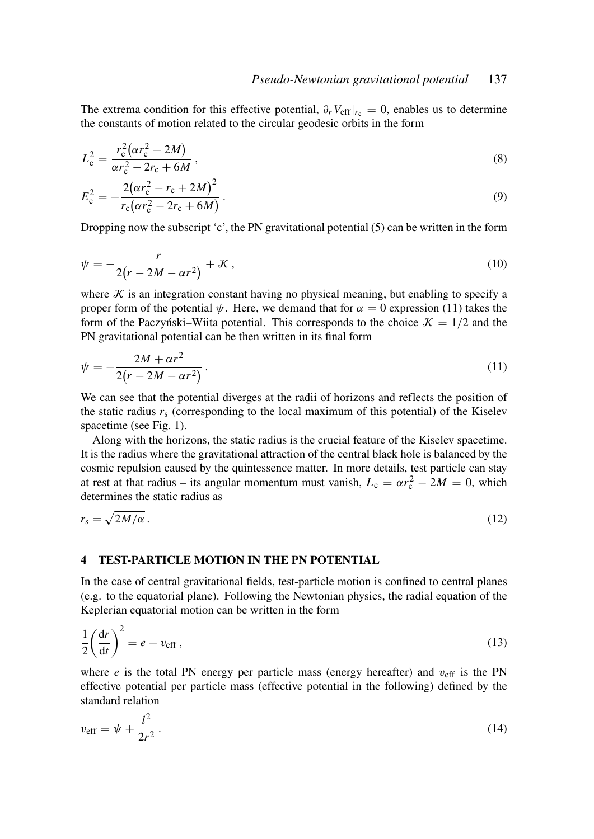The extrema condition for this effective potential,  $\partial_r V_{\text{eff}}|_{r_c} = 0$ , enables us to determine the constants of motion related to the circular geodesic orbits in the form

$$
L_{\rm c}^{2} = \frac{r_{\rm c}^{2} (\alpha r_{\rm c}^{2} - 2M)}{\alpha r_{\rm c}^{2} - 2r_{\rm c} + 6M},
$$
\n(8)

$$
E_{\rm c}^2 = -\frac{2(\alpha r_{\rm c}^2 - r_{\rm c} + 2M)^2}{r_{\rm c}(\alpha r_{\rm c}^2 - 2r_{\rm c} + 6M)}\,. \tag{9}
$$

Dropping now the subscript 'c', the PN gravitational potential  $(5)$  can be written in the form

$$
\psi = -\frac{r}{2(r - 2M - \alpha r^2)} + \mathcal{K} \,,\tag{10}
$$

where  $K$  is an integration constant having no physical meaning, but enabling to specify a proper form of the potential  $\psi$ . Here, we demand that for  $\alpha = 0$  expression (11) takes the form of the Paczynski–Wiita potential. This corresponds to the choice  $\mathcal{K} = 1/2$  and the PN gravitational potential can be then written in its final form

$$
\psi = -\frac{2M + \alpha r^2}{2(r - 2M - \alpha r^2)}.
$$
\n(11)

We can see that the potential diverges at the radii of horizons and reflects the position of the static radius  $r_s$  (corresponding to the local maximum of this potential) of the Kiselev spacetime (see Fig. 1).

Along with the horizons, the static radius is the crucial feature of the Kiselev spacetime. It is the radius where the gravitational attraction of the central black hole is balanced by the cosmic repulsion caused by the quintessence matter. In more details, test particle can stay at rest at that radius – its angular momentum must vanish,  $L_c = \alpha r_c^2 - 2M = 0$ , which determines the static radius as

$$
r_{\rm s} = \sqrt{2M/\alpha} \,. \tag{12}
$$

#### 4 TEST-PARTICLE MOTION IN THE PN POTENTIAL

In the case of central gravitational fields, test-particle motion is confined to central planes (e.g. to the equatorial plane). Following the Newtonian physics, the radial equation of the Keplerian equatorial motion can be written in the form

$$
\frac{1}{2}\left(\frac{\mathrm{d}r}{\mathrm{d}t}\right)^2 = e - v_{\mathrm{eff}}\,,\tag{13}
$$

where  $e$  is the total PN energy per particle mass (energy hereafter) and  $v_{\text{eff}}$  is the PN effective potential per particle mass (effective potential in the following) defined by the standard relation

$$
v_{\rm eff} = \psi + \frac{l^2}{2r^2} \,. \tag{14}
$$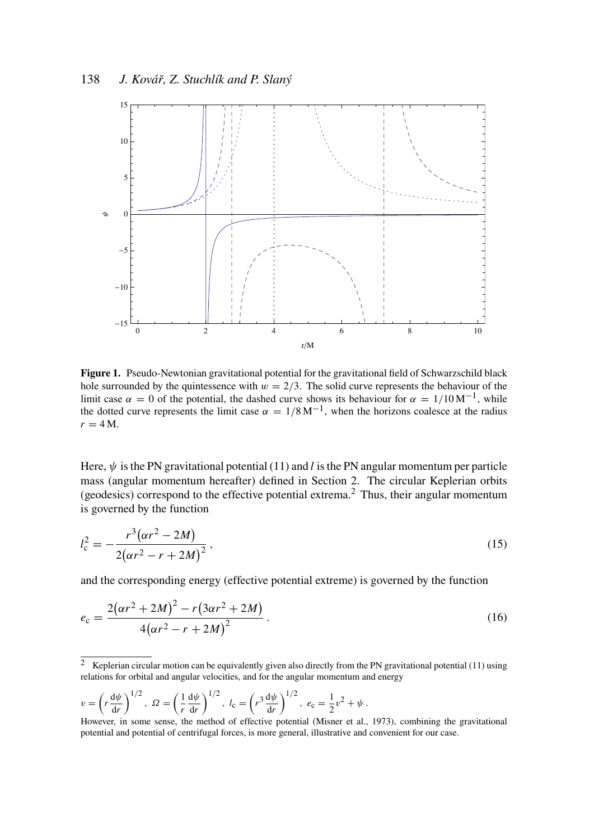

Figure 1. Pseudo-Newtonian gravitational potential for the gravitational field of Schwarzschild black hole surrounded by the quintessence with  $w = 2/3$ . The solid curve represents the behaviour of the limit case  $\alpha = 0$  of the potential, the dashed curve shows its behaviour for  $\alpha = 1/10 \,\mathrm{M}^{-1}$ , while the dotted curve represents the limit case  $\alpha = 1/8 \text{ M}^{-1}$ , when the horizons coalesce at the radius  $r = 4$  M.

Here,  $\psi$  is the PN gravitational potential (11) and *l* is the PN angular momentum per particle mass (angular momentum hereafter) defined in Section 2. The circular Keplerian orbits (geodesics) correspond to the effective potential extrema.<sup>2</sup> Thus, their angular momentum is governed by the function

$$
l_c^2 = -\frac{r^3(\alpha r^2 - 2M)}{2(\alpha r^2 - r + 2M)^2},
$$
\n(15)

and the corresponding energy (effective potential extreme) is governed by the function

$$
e_{c} = \frac{2(\alpha r^{2} + 2M)^{2} - r(3\alpha r^{2} + 2M)}{4(\alpha r^{2} - r + 2M)^{2}}.
$$
\n(16)

$$
v = \left(r \frac{d\psi}{dr}\right)^{1/2}, \ \Omega = \left(\frac{1}{r} \frac{d\psi}{dr}\right)^{1/2}, \ l_c = \left(r^3 \frac{d\psi}{dr}\right)^{1/2}, \ e_c = \frac{1}{2}v^2 + \psi.
$$

However, in some sense, the method of effective potential (Misner et al., 1973), combining the gravitational potential and potential of centrifugal forces, is more general, illustrative and convenient for our case.

<sup>&</sup>lt;sup>2</sup> Keplerian circular motion can be equivalently given also directly from the PN gravitational potential (11) using relations for orbital and angular velocities, and for the angular momentum and energy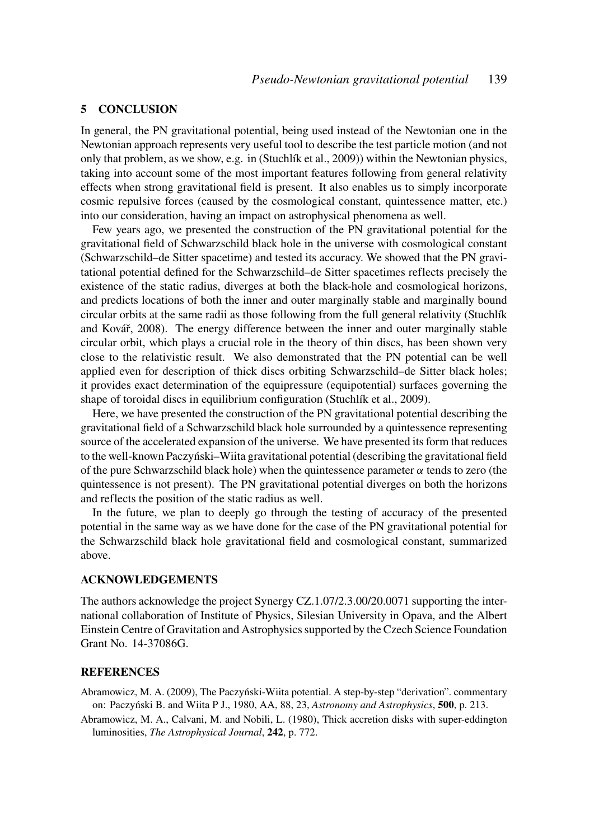## 5 CONCLUSION

In general, the PN gravitational potential, being used instead of the Newtonian one in the Newtonian approach represents very useful tool to describe the test particle motion (and not only that problem, as we show, e.g. in (Stuchlík et al., 2009)) within the Newtonian physics, taking into account some of the most important features following from general relativity effects when strong gravitational field is present. It also enables us to simply incorporate cosmic repulsive forces (caused by the cosmological constant, quintessence matter, etc.) into our consideration, having an impact on astrophysical phenomena as well.

Few years ago, we presented the construction of the PN gravitational potential for the gravitational field of Schwarzschild black hole in the universe with cosmological constant (Schwarzschild–de Sitter spacetime) and tested its accuracy. We showed that the PN gravitational potential defined for the Schwarzschild–de Sitter spacetimes reflects precisely the existence of the static radius, diverges at both the black-hole and cosmological horizons, and predicts locations of both the inner and outer marginally stable and marginally bound circular orbits at the same radii as those following from the full general relativity (Stuchlík and Kovář, 2008). The energy difference between the inner and outer marginally stable circular orbit, which plays a crucial role in the theory of thin discs, has been shown very close to the relativistic result. We also demonstrated that the PN potential can be well applied even for description of thick discs orbiting Schwarzschild–de Sitter black holes; it provides exact determination of the equipressure (equipotential) surfaces governing the shape of toroidal discs in equilibrium configuration (Stuchlík et al., 2009).

Here, we have presented the construction of the PN gravitational potential describing the gravitational field of a Schwarzschild black hole surrounded by a quintessence representing source of the accelerated expansion of the universe. We have presented its form that reduces to the well-known Paczyński–Wiita gravitational potential (describing the gravitational field of the pure Schwarzschild black hole) when the quintessence parameter  $\alpha$  tends to zero (the quintessence is not present). The PN gravitational potential diverges on both the horizons and reflects the position of the static radius as well.

In the future, we plan to deeply go through the testing of accuracy of the presented potential in the same way as we have done for the case of the PN gravitational potential for the Schwarzschild black hole gravitational field and cosmological constant, summarized above.

## ACKNOWLEDGEMENTS

The authors acknowledge the project Synergy CZ.1.07/2.3.00/20.0071 supporting the international collaboration of Institute of Physics, Silesian University in Opava, and the Albert Einstein Centre of Gravitation and Astrophysics supported by the Czech Science Foundation Grant No. 14-37086G.

## **REFERENCES**

- Abramowicz, M. A. (2009), The Paczyński-Wiita potential. A step-by-step "derivation". commentary on: Paczyński B. and Wiita P J., 1980, AA, 88, 23, *Astronomy and Astrophysics*, 500, p. 213.
- Abramowicz, M. A., Calvani, M. and Nobili, L. (1980), Thick accretion disks with super-eddington luminosities, *The Astrophysical Journal*, 242, p. 772.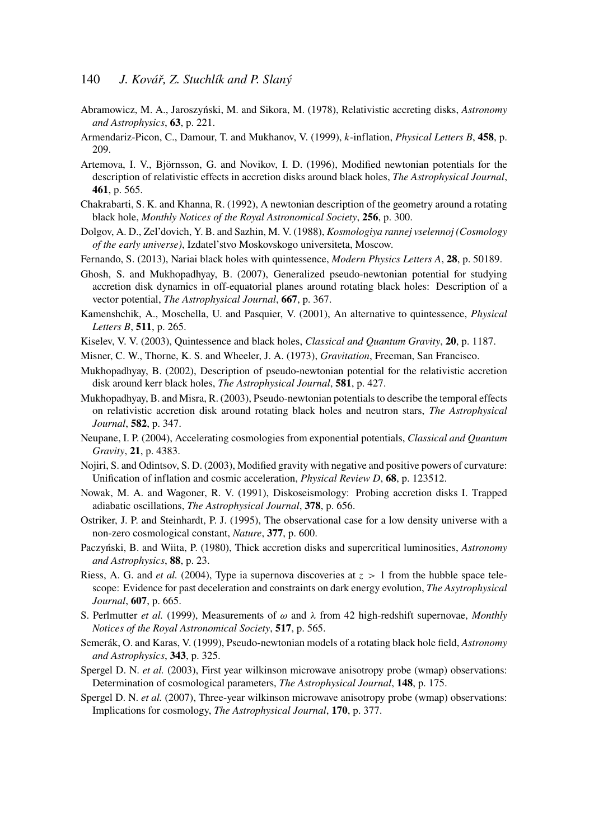- Abramowicz, M. A., Jaroszyński, M. and Sikora, M. (1978), Relativistic accreting disks, Astronomy *and Astrophysics*, 63, p. 221.
- Armendariz-Picon, C., Damour, T. and Mukhanov, V. (1999), *k*-inflation, *Physical Letters B*, 458, p. 209.
- Artemova, I. V., Björnsson, G. and Novikov, I. D. (1996), Modified newtonian potentials for the description of relativistic effects in accretion disks around black holes, *The Astrophysical Journal*, 461, p. 565.
- Chakrabarti, S. K. and Khanna, R. (1992), A newtonian description of the geometry around a rotating black hole, *Monthly Notices of the Royal Astronomical Society*, 256, p. 300.
- Dolgov, A. D., Zel'dovich, Y. B. and Sazhin, M. V. (1988), *Kosmologiya rannej vselennoj (Cosmology of the early universe)*, Izdatel'stvo Moskovskogo universiteta, Moscow.
- Fernando, S. (2013), Nariai black holes with quintessence, *Modern Physics Letters A*, 28, p. 50189.
- Ghosh, S. and Mukhopadhyay, B. (2007), Generalized pseudo-newtonian potential for studying accretion disk dynamics in off-equatorial planes around rotating black holes: Description of a vector potential, *The Astrophysical Journal*, 667, p. 367.
- Kamenshchik, A., Moschella, U. and Pasquier, V. (2001), An alternative to quintessence, *Physical Letters B*, 511, p. 265.
- Kiselev, V. V. (2003), Quintessence and black holes, *Classical and Quantum Gravity*, 20, p. 1187.
- Misner, C. W., Thorne, K. S. and Wheeler, J. A. (1973), *Gravitation*, Freeman, San Francisco.
- Mukhopadhyay, B. (2002), Description of pseudo-newtonian potential for the relativistic accretion disk around kerr black holes, *The Astrophysical Journal*, 581, p. 427.
- Mukhopadhyay, B. and Misra, R. (2003), Pseudo-newtonian potentials to describe the temporal effects on relativistic accretion disk around rotating black holes and neutron stars, *The Astrophysical Journal*, 582, p. 347.
- Neupane, I. P. (2004), Accelerating cosmologies from exponential potentials, *Classical and Quantum Gravity*, 21, p. 4383.
- Nojiri, S. and Odintsov, S. D. (2003), Modified gravity with negative and positive powers of curvature: Unification of inflation and cosmic acceleration, *Physical Review D*, 68, p. 123512.
- Nowak, M. A. and Wagoner, R. V. (1991), Diskoseismology: Probing accretion disks I. Trapped adiabatic oscillations, *The Astrophysical Journal*, 378, p. 656.
- Ostriker, J. P. and Steinhardt, P. J. (1995), The observational case for a low density universe with a non-zero cosmological constant, *Nature*, 377, p. 600.
- Paczyński, B. and Wiita, P. (1980), Thick accretion disks and supercritical luminosities, *Astronomy and Astrophysics*, 88, p. 23.
- Riess, A. G. and *et al.* (2004), Type ia supernova discoveries at  $z > 1$  from the hubble space telescope: Evidence for past deceleration and constraints on dark energy evolution, *The Asytrophysical Journal*, 607, p. 665.
- S. Perlmutter *et al.* (1999), Measurements of  $\omega$  and  $\lambda$  from 42 high-redshift supernovae, *Monthly Notices of the Royal Astronomical Society*, 517, p. 565.
- Semerák, O. and Karas, V. (1999), Pseudo-newtonian models of a rotating black hole field, *Astronomy and Astrophysics*, 343, p. 325.
- Spergel D. N. *et al.* (2003), First year wilkinson microwave anisotropy probe (wmap) observations: Determination of cosmological parameters, *The Astrophysical Journal*, 148, p. 175.
- Spergel D. N. *et al.* (2007), Three-year wilkinson microwave anisotropy probe (wmap) observations: Implications for cosmology, *The Astrophysical Journal*, 170, p. 377.